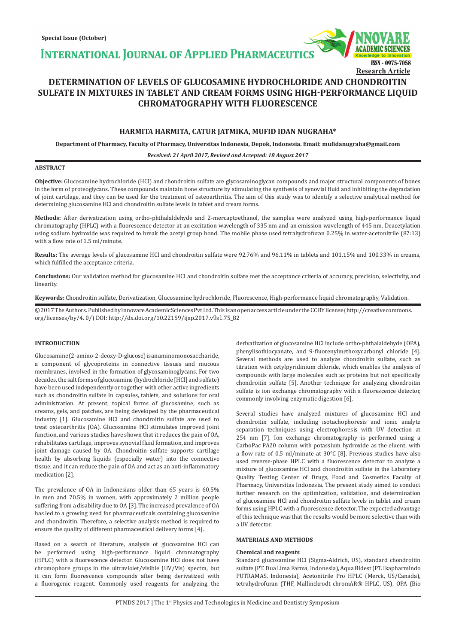**INTERNATIONAL JOURNAL OF APPLIED PHARMACEUTICS** 



# **DETERMINATION OF LEVELS OF GLUCOSAMINE HYDROCHLORIDE AND CHONDROITIN SULFATE IN MIXTURES IN TABLET AND CREAM FORMS USING HIGH-PERFORMANCE LIQUID CHROMATOGRAPHY WITH FLUORESCENCE**

# **HARMITA HARMITA, CATUR JATMIKA, MUFID IDAN NUGRAHA\***

**Department of Pharmacy, Faculty of Pharmacy, Universitas Indonesia, Depok, Indonesia. Email: mufidanugraha@gmail.com**

*Received: 21 April 2017, Revised and Accepted: 18 August 2017*

# **ABSTRACT**

**Objective:** Glucosamine hydrochloride (HCl) and chondroitin sulfate are glycosaminoglycan compounds and major structural components of bones in the form of proteoglycans. These compounds maintain bone structure by stimulating the synthesis of synovial fluid and inhibiting the degradation of joint cartilage, and they can be used for the treatment of osteoarthritis. The aim of this study was to identify a selective analytical method for determining glucosamine HCl and chondroitin sulfate levels in tablet and cream forms.

**Methods:** After derivatization using ortho-phthalaldehyde and 2-mercaptoethanol, the samples were analyzed using high-performance liquid chromatography (HPLC) with a fluorescence detector at an excitation wavelength of 335 nm and an emission wavelength of 445 nm. Deacetylation using sodium hydroxide was required to break the acetyl group bond. The mobile phase used tetrahydrofuran 0.25% in water-acetonitrile (87:13) with a flow rate of 1.5 ml/minute.

**Results:** The average levels of glucosamine HCl and chondroitin sulfate were 92.76% and 96.11% in tablets and 101.15% and 100.33% in creams, which fulfilled the acceptance criteria.

**Conclusions:** Our validation method for glucosamine HCl and chondroitin sulfate met the acceptance criteria of accuracy, precision, selectivity, and linearity.

**Keywords:** Chondroitin sulfate, Derivatization, Glucosamine hydrochloride, Fluorescence, High-performance liquid chromatography, Validation.

© 2017 The Authors. Published by Innovare Academic Sciences Pvt Ltd. This is an open access article under the CC BY license (http://creativecommons. org/licenses/by/4. 0/) DOI: http://dx.doi.org/10.22159/ijap.2017.v9s1.75\_82

## **INTRODUCTION**

Glucosamine (2-amino-2-deoxy-D-glucose) is an amino monosaccharide, a component of glycoproteins in connective tissues and mucous membranes, involved in the formation of glycosaminoglycans. For two decades, the salt forms of glucosamine (hydrochloride [HCl] and sulfate) have been used independently or together with other active ingredients such as chondroitin sulfate in capsules, tablets, and solutions for oral administration. At present, topical forms of glucosamine, such as creams, gels, and patches, are being developed by the pharmaceutical industry [1]. Glucosamine HCl and chondroitin sulfate are used to treat osteoarthritis (OA). Glucosamine HCl stimulates improved joint function, and various studies have shown that it reduces the pain of OA, rehabilitates cartilage, improves synovial fluid formation, and improves joint damage caused by OA. Chondroitin sulfate supports cartilage health by absorbing liquids (especially water) into the connective tissue, and it can reduce the pain of OA and act as an anti-inflammatory medication [2].

The prevalence of OA in Indonesians older than 65 years is 60.5% in men and 70.5% in women, with approximately 2 million people suffering from a disability due to OA [3]. The increased prevalence of OA has led to a growing need for pharmaceuticals containing glucosamine and chondroitin. Therefore, a selective analysis method is required to ensure the quality of different pharmaceutical delivery forms [4].

Based on a search of literature, analysis of glucosamine HCl can be performed using high-performance liquid chromatography (HPLC) with a fluorescence detector. Glucosamine HCl does not have chromophore groups in the ultraviolet/visible (UV/Vis) spectra, but it can form fluorescence compounds after being derivatized with a fluorogenic reagent. Commonly used reagents for analyzing the derivatization of glucosamine HCl include ortho-phthalaldehyde (OPA), phenylisothiocyanate, and 9-fluorenylmethoxycarbonyl chloride [4]. Several methods are used to analyze chondroitin sulfate, such as titration with cetylpyridinium chloride, which enables the analysis of compounds with large molecules such as proteins but not specifically chondroitin sulfate [5]. Another technique for analyzing chondroitin sulfate is ion exchange chromatography with a fluorescence detector, commonly involving enzymatic digestion [6].

Several studies have analyzed mixtures of glucosamine HCl and chondroitin sulfate, including isotachophoresis and ionic analyte separation techniques using electrophoresis with UV detection at 254 nm [7]. Ion exchange chromatography is performed using a CarboPac PA20 column with potassium hydroxide as the eluent, with a flow rate of 0.5 ml/minute at 30°C [8]. Previous studies have also used reverse-phase HPLC with a fluorescence detector to analyze a mixture of glucosamine HCl and chondroitin sulfate in the Laboratory Quality Testing Center of Drugs, Food and Cosmetics Faculty of Pharmacy, Universitas Indonesia. The present study aimed to conduct further research on the optimization, validation, and determination of glucosamine HCl and chondroitin sulfate levels in tablet and cream forms using HPLC with a fluorescence detector. The expected advantage of this technique was that the results would be more selective than with a UV detector.

#### **MATERIALS AND METHODS**

#### **Chemical and reagents**

Standard glucosamine HCl (Sigma-Aldrich, US), standard chondroitin sulfate (PT. Dua Lima Farma, Indonesia), Aqua Bidest (PT. Ikapharmindo PUTRAMAS, Indonesia), Acetonitrile Pro HPLC (Merck, US/Canada), tetrahydrofuran (THF, Mallinckrodt chromAR® HPLC, US), OPA (Bio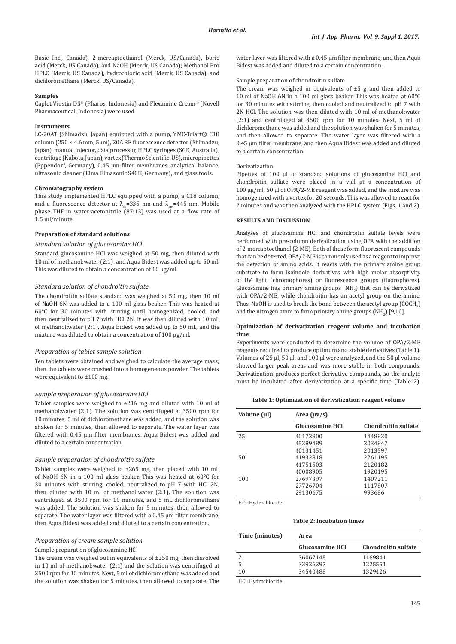Basic Inc., Canada), 2-mercaptoethanol (Merck, US/Canada), boric acid (Merck, US Canada), and NaOH (Merck, US Canada); Methanol Pro HPLC (Merck, US Canada), hydrochloric acid (Merck, US Canada), and dichloromethane (Merck, US/Canada).

# **Samples**

Caplet Viostin DS® (Pharos, Indonesia) and Flexamine Cream® (Novell Pharmaceutical, Indonesia) were used.

#### **Instruments**

LC-20AT (Shimadzu, Japan) equipped with a pump, YMC-Triart® C18 column (250 × 4.6 mm, 5μm), 20A RF fluorescence detector (Shimadzu, Japan), manual injector, data processor, HPLC syringes (SGE, Australia), centrifuge (Kubota, Japan), vortex (Thermo Scientific, US), micropipettes (Eppendorf, Germany), 0.45 μm filter membranes, analytical balance, ultrasonic cleaner (Elma Elmasonic S40H, Germany), and glass tools.

#### **Chromatography system**

This study implemented HPLC equipped with a pump, a C18 column, and a fluorescence detector at  $\lambda_{\text{av}}$ =335 nm and  $\lambda_{\text{em}}$ =445 nm. Mobile phase THF in water-acetonitrile (87:13) was used at a flow rate of 1.5 ml/minute.

#### **Preparation of standard solutions**

#### *Standard solution of glucosamine HCl*

Standard glucosamine HCl was weighed at 50 mg, then diluted with 10 ml of methanol:water (2:1), and Aqua Bidest was added up to 50 ml. This was diluted to obtain a concentration of 10 μg/ml.

# *Standard solution of chondroitin sulfate*

The chondroitin sulfate standard was weighed at 50 mg, then 10 ml of NaOH 6N was added to a 100 ml glass beaker. This was heated at 60°C for 30 minutes with stirring until homogenized, cooled, and then neutralized to pH 7 with HCl 2N. It was then diluted with 10 mL of methanol:water (2:1), Aqua Bidest was added up to 50 mL, and the mixture was diluted to obtain a concentration of 100 μg/ml.

#### *Preparation of tablet sample solution*

Ten tablets were obtained and weighed to calculate the average mass; then the tablets were crushed into a homogeneous powder. The tablets were equivalent to ±100 mg.

## *Sample preparation of glucosamine HCl*

Tablet samples were weighed to ±216 mg and diluted with 10 ml of methanol:water (2:1). The solution was centrifuged at 3500 rpm for 10 minutes, 5 ml of dichloromethane was added, and the solution was shaken for 5 minutes, then allowed to separate. The water layer was filtered with 0.45 μm filter membranes. Aqua Bidest was added and diluted to a certain concentration.

#### *Sample preparation of chondroitin sulfate*

Tablet samples were weighed to ±265 mg, then placed with 10 mL of NaOH 6N in a 100 ml glass beaker. This was heated at 60°C for 30 minutes with stirring, cooled, neutralized to pH 7 with HCl 2N, then diluted with 10 ml of methanol:water (2:1). The solution was centrifuged at 3500 rpm for 10 minutes, and 5 mL dichloromethane was added. The solution was shaken for 5 minutes, then allowed to separate. The water layer was filtered with a 0.45 μm filter membrane, then Aqua Bidest was added and diluted to a certain concentration.

# *Preparation of cream sample solution*

# Sample preparation of glucosamine HCl

The cream was weighed out in equivalents of ±250 mg, then dissolved in 10 ml of methanol:water (2:1) and the solution was centrifuged at 3500 rpm for 10 minutes. Next, 5 ml of dichloromethane was added and the solution was shaken for 5 minutes, then allowed to separate. The water layer was filtered with a 0.45 μm filter membrane, and then Aqua Bidest was added and diluted to a certain concentration.

# Sample preparation of chondroitin sulfate

The cream was weighed in equivalents of  $\pm 5$  g and then added to 10 ml of NaOH 6N in a 100 ml glass beaker. This was heated at 60°C for 30 minutes with stirring, then cooled and neutralized to pH 7 with 2N HCl. The solution was then diluted with 10 ml of methanol:water (2:1) and centrifuged at 3500 rpm for 10 minutes. Next, 5 ml of dichloromethane was added and the solution was shaken for 5 minutes, and then allowed to separate. The water layer was filtered with a 0.45 μm filter membrane, and then Aqua Bidest was added and diluted to a certain concentration.

#### Derivatization

Pipettes of 100 μl of standard solutions of glucosamine HCl and chondroitin sulfate were placed in a vial at a concentration of 100 μg/ml, 50 μl of OPA/2-ME reagent was added, and the mixture was homogenized with a vortex for 20 seconds. This was allowed to react for 2 minutes and was then analyzed with the HPLC system (Figs. 1 and 2).

#### **RESULTS AND DISCUSSION**

Analyses of glucosamine HCl and chondroitin sulfate levels were performed with pre-column derivatization using OPA with the addition of 2-mercaptoethanol (2-ME). Both of these form fluorescent compounds that can be detected. OPA/2-ME is commonly used as a reagent to improve the detection of amino acids. It reacts with the primary amine group substrate to form isoindole derivatives with high molar absorptivity of UV light (chromophores) or fluorescence groups (fluorophores). Glucosamine has primary amine groups  $(NH_2)$  that can be derivatized with OPA/2-ME, while chondroitin has an acetyl group on the amine. Thus, NaOH is used to break the bond between the acetyl group  ${\rm (CUCH}_{\rm 3}{\rm )}$ and the nitrogen atom to form primary amine groups  $(NH_2)$  [9,10].

#### **Optimization of derivatization reagent volume and incubation time**

Experiments were conducted to determine the volume of OPA/2-ME reagents required to produce optimum and stable derivatives (Table 1). Volumes of 25 μl, 50 μl, and 100 μl were analyzed, and the 50 μl volume showed larger peak areas and was more stable in both compounds. Derivatization produces perfect derivative compounds, so the analyte must be incubated after derivatization at a specific time (Table 2).

**Table 1: Optimization of derivatization reagent volume**

| Volume (µl) | Area $(\mu v/s)$       |                     |  |  |  |  |
|-------------|------------------------|---------------------|--|--|--|--|
|             | <b>Glucosamine HCI</b> | Chondroitin sulfate |  |  |  |  |
| 25          | 40172900               | 1448830             |  |  |  |  |
|             | 45389489               | 2034847             |  |  |  |  |
|             | 40131451               | 2013597             |  |  |  |  |
| 50          | 41932818               | 2261195             |  |  |  |  |
|             | 41751503               | 2120182             |  |  |  |  |
|             | 40008905               | 1920195             |  |  |  |  |
| 100         | 27697397               | 1407211             |  |  |  |  |
|             | 27726704               | 1117807             |  |  |  |  |
|             | 29130675               | 993686              |  |  |  |  |

HCl: Hydrochloride

#### **Table 2: Incubation times**

| Time (minutes) | Area                   |                            |  |  |  |
|----------------|------------------------|----------------------------|--|--|--|
|                | <b>Glucosamine HCl</b> | <b>Chondroitin sulfate</b> |  |  |  |
|                | 36067148               | 1169841                    |  |  |  |
| 5              | 33926297               | 1225551                    |  |  |  |
| 10             | 34540488               | 1329426                    |  |  |  |

HCl: Hydrochloride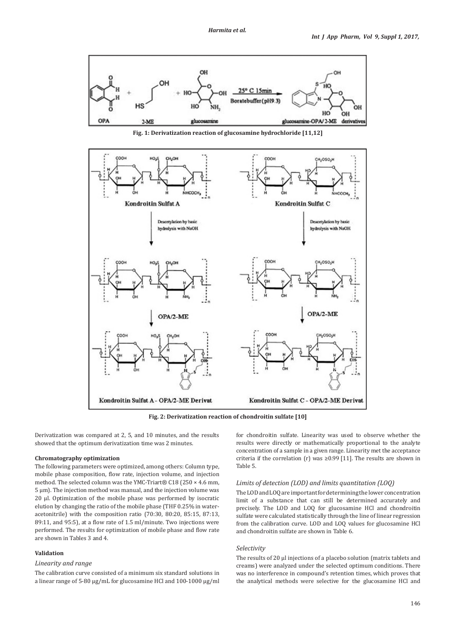

**Fig. 1: Derivatization reaction of glucosamine hydrochloride [11,12]**



**Fig. 2: Derivatization reaction of chondroitin sulfate [10]**

Derivatization was compared at 2, 5, and 10 minutes, and the results showed that the optimum derivatization time was 2 minutes.

#### **Chromatography optimization**

The following parameters were optimized, among others: Column type, mobile phase composition, flow rate, injection volume, and injection method. The selected column was the YMC-Triart® C18 (250 × 4.6 mm, 5 μm). The injection method was manual, and the injection volume was 20 μl. Optimization of the mobile phase was performed by isocratic elution by changing the ratio of the mobile phase (THF 0.25% in wateracetonitrile) with the composition ratio (70:30, 80:20, 85:15, 87:13, 89:11, and 95:5), at a flow rate of 1.5 ml/minute. Two injections were performed. The results for optimization of mobile phase and flow rate are shown in Tables 3 and 4.

#### **Validation**

#### *Linearity and range*

The calibration curve consisted of a minimum six standard solutions in a linear range of 5-80 μg/mL for glucosamine HCl and 100-1000 μg/ml for chondroitin sulfate. Linearity was used to observe whether the results were directly or mathematically proportional to the analyte concentration of a sample in a given range. Linearity met the acceptance criteria if the correlation (r) was  $\geq$ 0.99 [11]. The results are shown in Table 5.

# *Limits of detection (LOD) and limits quantitation (LOQ)*

The LOD and LOQ are important for determining the lower concentration limit of a substance that can still be determined accurately and precisely. The LOD and LOQ for glucosamine HCl and chondroitin sulfate were calculated statistically through the line of linear regression from the calibration curve. LOD and LOQ values for glucosamine HCl and chondroitin sulfate are shown in Table 6.

# *Selectivity*

The results of 20 μl injections of a placebo solution (matrix tablets and creams) were analyzed under the selected optimum conditions. There was no interference in compound's retention times, which proves that the analytical methods were selective for the glucosamine HCl and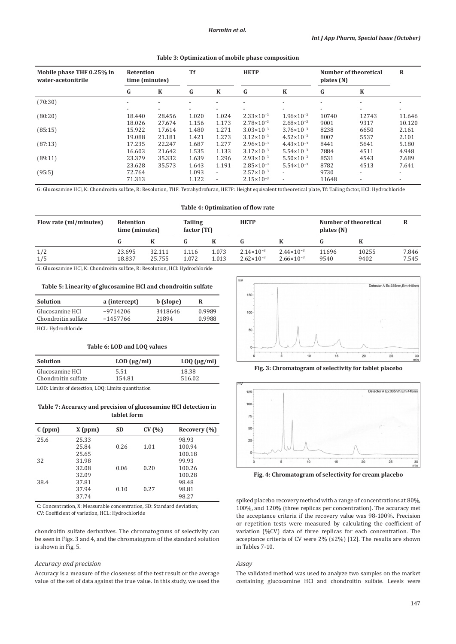#### **Table 3: Optimization of mobile phase composition**

| Mobile phase THF 0.25% in<br>water-acetonitrile | Retention<br>time (minutes) |                          | <b>Tf</b>                |                          | <b>HETP</b>              |                          | plates $(N)$             | Number of theoretical    | R      |
|-------------------------------------------------|-----------------------------|--------------------------|--------------------------|--------------------------|--------------------------|--------------------------|--------------------------|--------------------------|--------|
|                                                 | G                           | K                        | G                        | $\bf K$                  | G                        | $\bf K$                  | G                        | K                        |        |
| (70:30)                                         | $\overline{\phantom{0}}$    |                          | $\overline{\phantom{a}}$ | $\overline{\phantom{a}}$ |                          | $\overline{\phantom{a}}$ | $\overline{\phantom{a}}$ | ٠                        |        |
|                                                 | $\overline{\phantom{a}}$    | $\overline{\phantom{a}}$ | $\overline{\phantom{a}}$ | $\overline{\phantom{a}}$ | $\overline{\phantom{a}}$ | $\overline{\phantom{a}}$ | $\overline{\phantom{a}}$ | -                        |        |
| (80:20)                                         | 18.440                      | 28.456                   | 1.020                    | 1.024                    | $2.33 \times 10^{-3}$    | $1.96 \times 10^{-3}$    | 10740                    | 12743                    | 11.646 |
|                                                 | 18.026                      | 27.674                   | 1.156                    | 1.173                    | $2.78 \times 10^{-3}$    | $2.68 \times 10^{-3}$    | 9001                     | 9317                     | 10.120 |
| (85:15)                                         | 15.922                      | 17.614                   | 1.480                    | 1.271                    | $3.03 \times 10^{-3}$    | $3.76 \times 10^{-3}$    | 8238                     | 6650                     | 2.161  |
|                                                 | 19.088                      | 21.181                   | 1.421                    | 1.273                    | $3.12 \times 10^{-3}$    | $4.52 \times 10^{-3}$    | 8007                     | 5537                     | 2.101  |
| (87:13)                                         | 17.235                      | 22.247                   | 1.687                    | 1.277                    | $2.96 \times 10^{-3}$    | $4.43 \times 10^{-3}$    | 8441                     | 5641                     | 5.180  |
|                                                 | 16.603                      | 21.642                   | 1.535                    | 1.133                    | $3.17 \times 10^{-3}$    | $5.54 \times 10^{-3}$    | 7884                     | 4511                     | 4.948  |
| (89:11)                                         | 23.379                      | 35.332                   | 1.639                    | 1.296                    | $2.93 \times 10^{-3}$    | $5.50 \times 10^{-3}$    | 8531                     | 4543                     | 7.689  |
|                                                 | 23.628                      | 35.573                   | 1.643                    | 1.191                    | $2.85 \times 10^{-3}$    | $5.54 \times 10^{-3}$    | 8782                     | 4513                     | 7.641  |
| (95:5)                                          | 72.764                      |                          | 1.093                    | $\overline{\phantom{a}}$ | $2.57 \times 10^{-3}$    | $\overline{\phantom{0}}$ | 9730                     | $\overline{\phantom{0}}$ |        |
|                                                 | 71.313                      |                          | 1.122                    | $\overline{\phantom{a}}$ | $2.15 \times 10^{-3}$    | $\overline{\phantom{a}}$ | 11648                    | $\overline{a}$           |        |

G: Glucosamine HCl, K: Chondroitin sulfate, R: Resolution, THF: Tetrahydrofuran, HETP: Height equivalent totheoretical plate, Tf: Tailing factor, HCl: Hydrochloride

# **Table 4: Optimization of flow rate**

| Flow rate (ml/minutes) | Retention<br>time (minutes) |        | <b>Tailing</b> | <b>HETP</b><br>Number of theoretical<br>factor (Tf)<br>plates (N) |                       |                       |       |       |       |
|------------------------|-----------------------------|--------|----------------|-------------------------------------------------------------------|-----------------------|-----------------------|-------|-------|-------|
|                        |                             |        |                |                                                                   |                       |                       |       |       |       |
| 1/2                    | 23.695                      | 32.111 | 1.116          | 1.073                                                             | $2.14 \times 10^{-3}$ | $2.44 \times 10^{-3}$ | 11696 | 10255 | 7.846 |
| 1/5                    | 18.837                      | 25.755 | 1.072          | 1.013                                                             | $2.62 \times 10^{-3}$ | $2.66 \times 10^{-3}$ | 9540  | 9402  | 7.545 |

G: Glucosamine HCl, K: Chondroitin sulfate, R: Resolution, HCl: Hydrochloride

#### **Table 5: Linearity of glucosamine HCl and chondroitin sulfate**

| <b>Solution</b>                        | a (intercept)            | b (slope)        | R                |
|----------------------------------------|--------------------------|------------------|------------------|
| Glucosamine HCl<br>Chondroitin sulfate | $-9714206$<br>$-1457766$ | 3418646<br>21894 | 0.9989<br>0.9988 |
| HCL: Hydrochloride                     |                          |                  |                  |

| Table 6: LOD and LOO values |                     |                      |  |  |  |
|-----------------------------|---------------------|----------------------|--|--|--|
| Solution                    | $LOD$ ( $\mu$ g/ml) | $L OQ$ ( $\mu$ g/ml) |  |  |  |
| Glucosamine HCl             | 5.51                | 18.38                |  |  |  |
| Chondroitin sulfate         | 154.81              | 516.02               |  |  |  |

LOD: Limits of detection, LOQ: Limits quantitation

Chondroitin sulfate

# **Table 7: Accuracy and precision of glucosamine HCl detection in tablet form**

| $X$ (ppm) | <b>SD</b> | CV(%) | Recovery (%) |
|-----------|-----------|-------|--------------|
| 25.33     |           |       | 98.93        |
| 25.84     | 0.26      | 1.01  | 100.94       |
| 25.65     |           |       | 100.18       |
| 31.98     |           |       | 99.93        |
| 32.08     | 0.06      | 0.20  | 100.26       |
| 32.09     |           |       | 100.28       |
| 37.81     |           |       | 98.48        |
| 37.94     | 0.10      | 0.27  | 98.81        |
| 37.74     |           |       | 98.27        |
|           |           |       |              |

C: Concentration, X: Measurable concentration, SD: Standard deviation; CV: Coefficient of variation, HCL: Hydrochloride

chondroitin sulfate derivatives. The chromatograms of selectivity can be seen in Figs. 3 and 4, and the chromatogram of the standard solution is shown in Fig. 5.

## *Accuracy and precision*

Accuracy is a measure of the closeness of the test result or the average value of the set of data against the true value. In this study, we used the



**Fig. 3: Chromatogram of selectivity for tablet placebo**



**Fig. 4: Chromatogram of selectivity for cream placebo**

spiked placebo recovery method with a range of concentrations at 80%, 100%, and 120% (three replicas per concentration). The accuracy met the acceptance criteria if the recovery value was 98-100%. Precision or repetition tests were measured by calculating the coefficient of variation (%CV) data of three replicas for each concentration. The acceptance criteria of CV were 2% (≤2%) [12]. The results are shown in Tables 7-10.

# *Assay*

The validated method was used to analyze two samples on the market containing glucosamine HCl and chondroitin sulfate. Levels were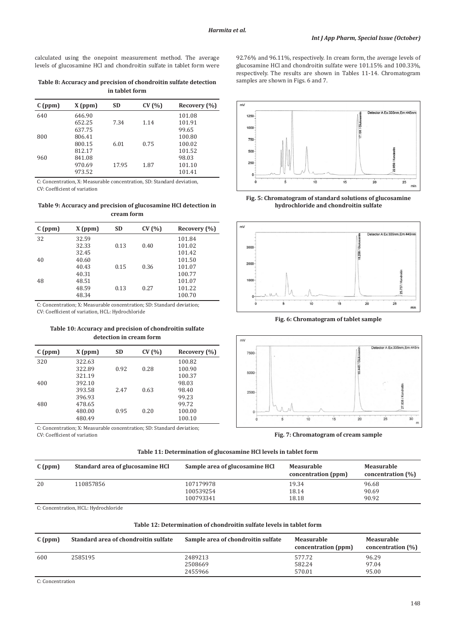calculated using the onepoint measurement method. The average levels of glucosamine HCl and chondroitin sulfate in tablet form were

**Table 8: Accuracy and precision of chondroitin sulfate detection in tablet form**

| C(ppm) | $X$ (ppm) | <b>SD</b> | CV(% ) | Recovery (%) |
|--------|-----------|-----------|--------|--------------|
| 640    | 646.90    |           |        | 101.08       |
|        | 652.25    | 7.34      | 1.14   | 101.91       |
|        | 637.75    |           |        | 99.65        |
| 800    | 806.41    |           |        | 100.80       |
|        | 800.15    | 6.01      | 0.75   | 100.02       |
|        | 812.17    |           |        | 101.52       |
| 960    | 841.08    |           |        | 98.03        |
|        | 970.69    | 17.95     | 1.87   | 101.10       |
|        | 973.52    |           |        | 101.41       |

C: Concentration, X: Measurable concentration, SD: Standard deviation, CV: Coefficient of variation

# **Table 9: Accuracy and precision of glucosamine HCl detection in cream form**

| C(ppm) | $X$ (ppm) | <b>SD</b> | CV(%) | Recovery (%) |
|--------|-----------|-----------|-------|--------------|
| 32     | 32.59     |           |       | 101.84       |
|        | 32.33     | 0.13      | 0.40  | 101.02       |
|        | 32.45     |           |       | 101.42       |
| 40     | 40.60     |           |       | 101.50       |
|        | 40.43     | 0.15      | 0.36  | 101.07       |
|        | 40.31     |           |       | 100.77       |
| 48     | 48.51     |           |       | 101.07       |
|        | 48.59     | 0.13      | 0.27  | 101.22       |
|        | 48.34     |           |       | 100.70       |

C: Concentration; X: Measurable concentration; SD: Standard deviation; CV: Coefficient of variation, HCL: Hydrochloride

# **Table 10: Accuracy and precision of chondroitin sulfate detection in cream form**

| C(ppm) | $X$ (ppm) | <b>SD</b> | CV(%) | Recovery (%) |
|--------|-----------|-----------|-------|--------------|
| 320    | 322.63    |           |       | 100.82       |
|        | 322.89    | 0.92      | 0.28  | 100.90       |
|        | 321.19    |           |       | 100.37       |
| 400    | 392.10    |           |       | 98.03        |
|        | 393.58    | 2.47      | 0.63  | 98.40        |
|        | 396.93    |           |       | 99.23        |
| 480    | 478.65    |           |       | 99.72        |
|        | 480.00    | 0.95      | 0.20  | 100.00       |
|        | 480.49    |           |       | 100.10       |

C: Concentration; X: Measurable concentration; SD: Standard deviation; CV: Coefficient of variation

 $mV$ Detector A Ex:335nm, Em:445n  $1250$ 1000 750 500

92.76% and 96.11%, respectively. In cream form, the average levels of glucosamine HCl and chondroitin sulfate were 101.15% and 100.33%, respectively. The results are shown in Tables 11-14. Chromatogram

samples are shown in Figs. 6 and 7.

250



**hydrochloride and chondroitin sulfate**



**Fig. 6: Chromatogram of tablet sample**



**Fig. 7: Chromatogram of cream sample**

**Table 11: Determination of glucosamine HCl levels in tablet form**

| C(ppm) | Standard area of glucosamine HCl | Sample area of glucosamine HCl      | Measurable<br>concentration (ppm) | Measurable<br>concentration (%) |
|--------|----------------------------------|-------------------------------------|-----------------------------------|---------------------------------|
| 20     | 110857856                        | 107179978<br>100539254<br>100793341 | 19.34<br>18.14<br>18.18           | 96.68<br>90.69<br>90.92         |

C: Concentration, HCL: Hydrochloride

# **Table 12: Determination of chondroitin sulfate levels in tablet form**

| C(ppm) | Standard area of chondroitin sulfate | Sample area of chondroitin sulfate | Measurable<br>concentration (ppm) | Measurable<br>concentration (%) |
|--------|--------------------------------------|------------------------------------|-----------------------------------|---------------------------------|
| 600    | 2585195                              | 2489213<br>2508669                 | 577.72<br>582.24                  | 96.29<br>97.04                  |
|        |                                      | 2455966                            | 570.01                            | 95.00                           |

C: Concentration

148